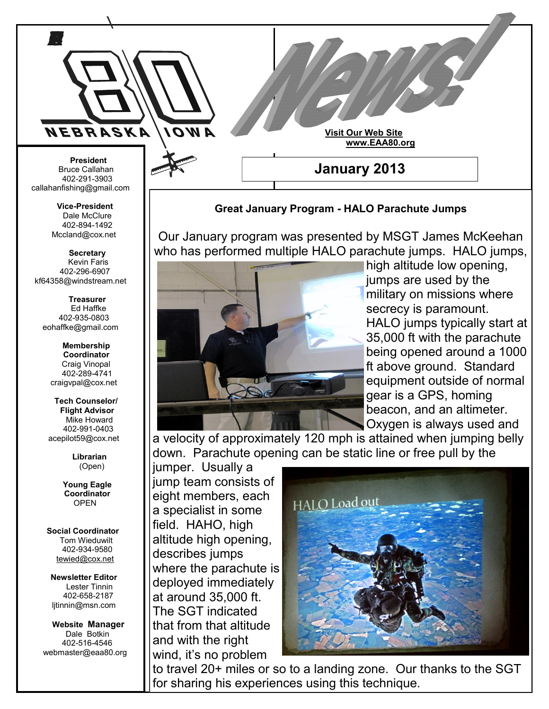

## **Great January Program - HALO Parachute Jumps**

Our January program was presented by MSGT James McKeehan who has performed multiple HALO parachute jumps. HALO jumps,



high altitude low opening, jumps are used by the military on missions where secrecy is paramount. HALO jumps typically start at 35,000 ft with the parachute being opened around a 1000 ft above ground. Standard equipment outside of normal gear is a GPS, homing beacon, and an altimeter. Oxygen is always used and

a velocity of approximately 120 mph is attained when jumping belly down. Parachute opening can be static line or free pull by the

jumper. Usually a jump team consists of eight members, each a specialist in some field. HAHO, high altitude high opening, describes jumps where the parachute is deployed immediately at around 35,000 ft. The SGT indicated that from that altitude and with the right wind, it's no problem



to travel 20+ miles or so to a landing zone. Our thanks to the SGT for sharing his experiences using this technique.

callahanfishing@gmail.com

**Vice-President** Dale McClure 402-894-1492 Mccland@cox.net

 **Secretary** Kevin Faris 402-296-6907 kf64358@windstream.net

 **Treasurer** Ed Haffke 402-935-0803 eohaffke@gmail.com

> **Membership Coordinator** Craig Vinopal 402-289-4741 craigvpal@cox.net

 **Tech Counselor/ Flight Advisor** Mike Howard 402-991-0403 acepilot59@cox.net

> **Librarian** (Open)

 **Young Eagle Coordinator** OPEN

 **Social Coordinator** Tom Wieduwilt 402-934-9580 [tewied@cox.net](javascript:parent.wgMail.openComposeWindow()

**Newsletter Editor** Lester Tinnin 402-658-2187 ljtinnin@msn.com

 **Website Manager** Dale Botkin 402-516-4546 webmaster@eaa80.org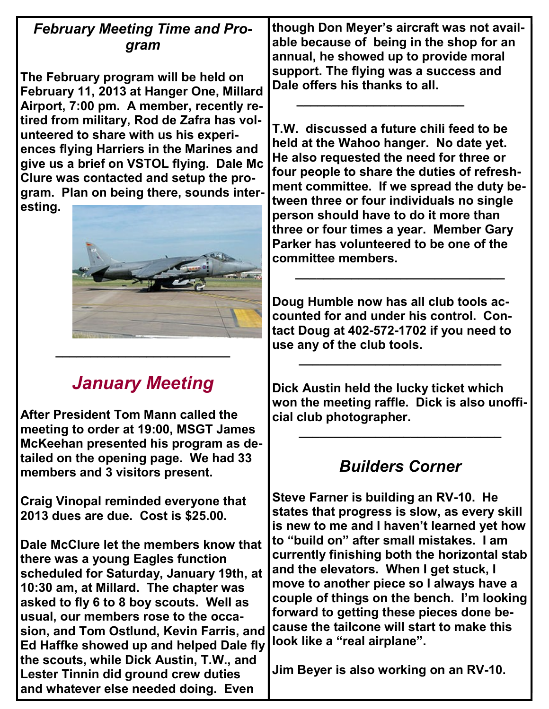## *February Meeting Time and Program*

**The February program will be held on February 11, 2013 at Hanger One, Millard Airport, 7:00 pm. A member, recently retired from military, Rod de Zafra has volunteered to share with us his experiences flying Harriers in the Marines and give us a brief on VSTOL flying. Dale Mc Clure was contacted and setup the program. Plan on being there, sounds interesting.**



## *January Meeting*

**\_\_\_\_\_\_\_\_\_\_\_\_\_\_\_\_\_\_\_\_\_\_\_\_\_**

**After President Tom Mann called the meeting to order at 19:00, MSGT James McKeehan presented his program as detailed on the opening page. We had 33 members and 3 visitors present.**

**Craig Vinopal reminded everyone that 2013 dues are due. Cost is \$25.00.**

**Dale McClure let the members know that there was a young Eagles function scheduled for Saturday, January 19th, at 10:30 am, at Millard. The chapter was asked to fly 6 to 8 boy scouts. Well as usual, our members rose to the occasion, and Tom Ostlund, Kevin Farris, and Ed Haffke showed up and helped Dale fly the scouts, while Dick Austin, T.W., and Lester Tinnin did ground crew duties and whatever else needed doing. Even** 

**though Don Meyer's aircraft was not available because of being in the shop for an annual, he showed up to provide moral support. The flying was a success and Dale offers his thanks to all.**

 **\_\_\_\_\_\_\_\_\_\_\_\_\_\_\_\_\_\_\_\_\_\_\_\_**

**T.W. discussed a future chili feed to be held at the Wahoo hanger. No date yet. He also requested the need for three or four people to share the duties of refreshment committee. If we spread the duty between three or four individuals no single person should have to do it more than three or four times a year. Member Gary Parker has volunteered to be one of the committee members.**

**Doug Humble now has all club tools accounted for and under his control. Contact Doug at 402-572-1702 if you need to use any of the club tools.**

**\_\_\_\_\_\_\_\_\_\_\_\_\_\_\_\_\_\_\_\_\_\_\_\_\_\_\_\_\_\_**

**Dick Austin held the lucky ticket which won the meeting raffle. Dick is also unofficial club photographer.**

**\_\_\_\_\_\_\_\_\_\_\_\_\_\_\_\_\_\_\_\_\_\_\_\_\_\_\_\_\_**

**\_\_\_\_\_\_\_\_\_\_\_\_\_\_\_\_\_\_\_\_\_\_\_\_\_\_\_\_\_**

## *Builders Corner*

**Steve Farner is building an RV-10. He states that progress is slow, as every skill is new to me and I haven't learned yet how to "build on" after small mistakes. I am currently finishing both the horizontal stab and the elevators. When I get stuck, I move to another piece so I always have a couple of things on the bench. I'm looking forward to getting these pieces done because the tailcone will start to make this look like a "real airplane".**

**Jim Beyer is also working on an RV-10.**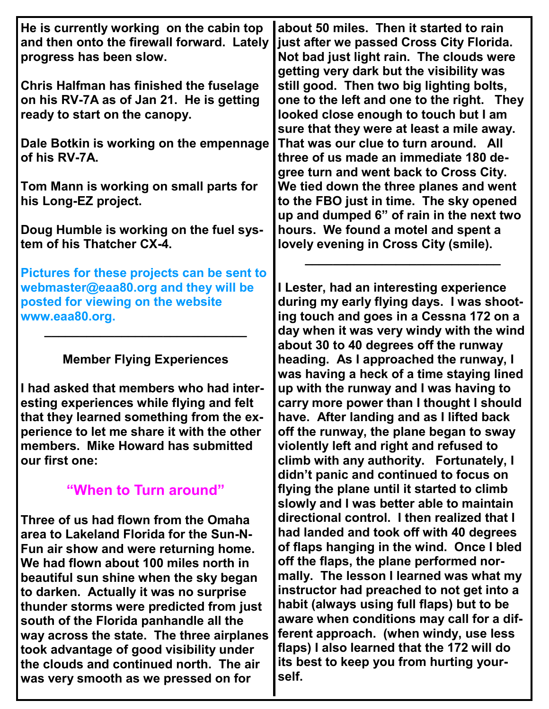| He is currently working on the cabin top<br>and then onto the firewall forward. Lately<br>progress has been slow.<br><b>Chris Halfman has finished the fuselage</b><br>on his RV-7A as of Jan 21. He is getting<br>ready to start on the canopy.<br>Dale Botkin is working on the empennage<br>of his RV-7A.                                                                                                                                                                                                          | about 50 miles. Then it started to rain<br>just after we passed Cross City Florida.<br>Not bad just light rain. The clouds were<br>getting very dark but the visibility was<br>still good. Then two big lighting bolts,<br>one to the left and one to the right. They<br>looked close enough to touch but I am<br>sure that they were at least a mile away.<br>That was our clue to turn around. All<br>three of us made an immediate 180 de-<br>gree turn and went back to Cross City.                      |
|-----------------------------------------------------------------------------------------------------------------------------------------------------------------------------------------------------------------------------------------------------------------------------------------------------------------------------------------------------------------------------------------------------------------------------------------------------------------------------------------------------------------------|--------------------------------------------------------------------------------------------------------------------------------------------------------------------------------------------------------------------------------------------------------------------------------------------------------------------------------------------------------------------------------------------------------------------------------------------------------------------------------------------------------------|
| Tom Mann is working on small parts for<br>his Long-EZ project.                                                                                                                                                                                                                                                                                                                                                                                                                                                        | We tied down the three planes and went<br>to the FBO just in time. The sky opened<br>up and dumped 6" of rain in the next two                                                                                                                                                                                                                                                                                                                                                                                |
| Doug Humble is working on the fuel sys-<br>tem of his Thatcher CX-4.                                                                                                                                                                                                                                                                                                                                                                                                                                                  | hours. We found a motel and spent a<br>lovely evening in Cross City (smile).                                                                                                                                                                                                                                                                                                                                                                                                                                 |
| Pictures for these projects can be sent to<br>webmaster@eaa80.org and they will be<br>posted for viewing on the website<br>www.eaa80.org.                                                                                                                                                                                                                                                                                                                                                                             | I Lester, had an interesting experience<br>during my early flying days. I was shoot-<br>ing touch and goes in a Cessna 172 on a<br>day when it was very windy with the wind                                                                                                                                                                                                                                                                                                                                  |
| <b>Member Flying Experiences</b>                                                                                                                                                                                                                                                                                                                                                                                                                                                                                      | about 30 to 40 degrees off the runway<br>heading. As I approached the runway, I<br>was having a heck of a time staying lined                                                                                                                                                                                                                                                                                                                                                                                 |
| I had asked that members who had inter-<br>esting experiences while flying and felt<br>that they learned something from the ex-<br>perience to let me share it with the other<br>members. Mike Howard has submitted<br>our first one:                                                                                                                                                                                                                                                                                 | up with the runway and I was having to<br>carry more power than I thought I should<br>have. After landing and as I lifted back<br>off the runway, the plane began to sway<br>violently left and right and refused to<br>climb with any authority. Fortunately, I<br>didn't panic and continued to focus on                                                                                                                                                                                                   |
| "When to Turn around"                                                                                                                                                                                                                                                                                                                                                                                                                                                                                                 | flying the plane until it started to climb<br>slowly and I was better able to maintain                                                                                                                                                                                                                                                                                                                                                                                                                       |
| Three of us had flown from the Omaha<br>area to Lakeland Florida for the Sun-N-<br>Fun air show and were returning home.<br>We had flown about 100 miles north in<br>beautiful sun shine when the sky began<br>to darken. Actually it was no surprise<br>thunder storms were predicted from just<br>south of the Florida panhandle all the<br>way across the state. The three airplanes<br>took advantage of good visibility under<br>the clouds and continued north. The air<br>was very smooth as we pressed on for | directional control. I then realized that I<br>had landed and took off with 40 degrees<br>of flaps hanging in the wind. Once I bled<br>off the flaps, the plane performed nor-<br>mally. The lesson I learned was what my<br>instructor had preached to not get into a<br>habit (always using full flaps) but to be<br>aware when conditions may call for a dif-<br>ferent approach. (when windy, use less<br>flaps) I also learned that the 172 will do<br>its best to keep you from hurting your-<br>self. |